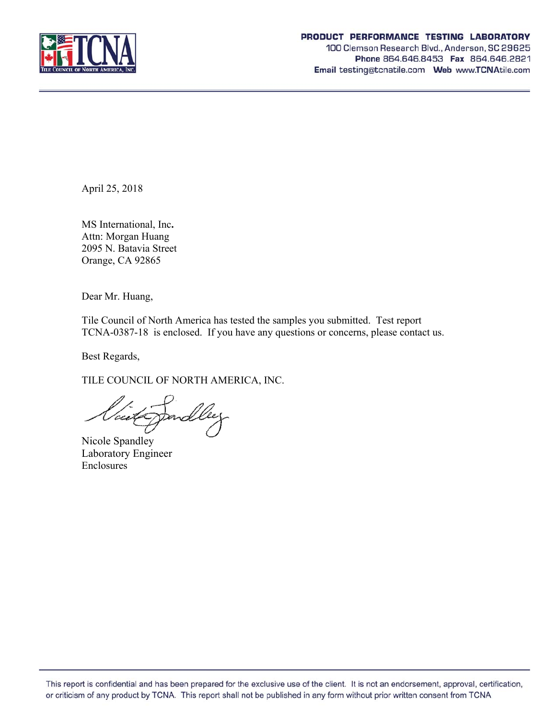

#### PRODUCT PERFORMANCE TESTING LABORATORY

100 Clemson Research Blvd., Anderson, SC 29625 Phone 864.646.8453 Fax 864.646.2821 Email testing@tcnatile.com Web www.TCNAtile.com

April 25, 2018

MS International, Inc**.** Attn: Morgan Huang 2095 N. Batavia Street Orange, CA 92865

Dear Mr. Huang,

Tile Council of North America has tested the samples you submitted. Test report TCNA-0387-18 is enclosed. If you have any questions or concerns, please contact us.

Best Regards,

TILE COUNCIL OF NORTH AMERICA, INC.

ceex

Nicole Spandley Laboratory Engineer Enclosures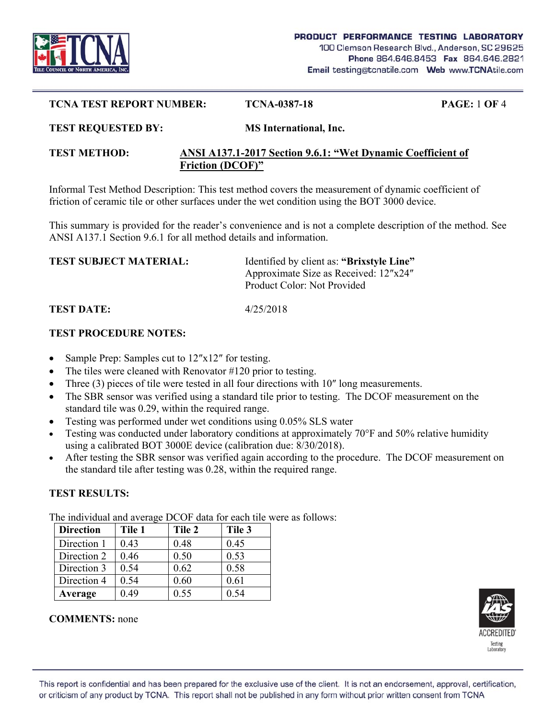

#### **TCNA TEST REPORT NUMBER: TCNA-0387-18 PAGE:** 1 **OF** 4

#### **TEST REQUESTED BY: MS International, Inc.**

### **TEST METHOD: ANSI A137.1-2017 Section 9.6.1: "Wet Dynamic Coefficient of Friction (DCOF)"**

Informal Test Method Description: This test method covers the measurement of dynamic coefficient of friction of ceramic tile or other surfaces under the wet condition using the BOT 3000 device.

This summary is provided for the reader's convenience and is not a complete description of the method. See ANSI A137.1 Section 9.6.1 for all method details and information.

| <b>TEST SUBJECT MATERIAL:</b> | Identified by client as: "Brixstyle Line" |
|-------------------------------|-------------------------------------------|
|                               | Approximate Size as Received: 12"x24"     |
|                               | Product Color: Not Provided               |
|                               |                                           |

**TEST DATE:** 4/25/2018

### **TEST PROCEDURE NOTES:**

- Sample Prep: Samples cut to 12″x12″ for testing.
- The tiles were cleaned with Renovator #120 prior to testing.
- Three (3) pieces of tile were tested in all four directions with 10″ long measurements.
- The SBR sensor was verified using a standard tile prior to testing. The DCOF measurement on the standard tile was 0.29, within the required range.
- Testing was performed under wet conditions using 0.05% SLS water
- Testing was conducted under laboratory conditions at approximately 70°F and 50% relative humidity using a calibrated BOT 3000E device (calibration due: 8/30/2018).
- After testing the SBR sensor was verified again according to the procedure. The DCOF measurement on the standard tile after testing was 0.28, within the required range.

# **TEST RESULTS:**

The individual and average DCOF data for each tile were as follows:

| <b>Direction</b> | Tile 1 | Tile 2 | Tile 3 |
|------------------|--------|--------|--------|
| Direction 1      | 0.43   | 0.48   | 0.45   |
| Direction 2      | 0.46   | 0.50   | 0.53   |
| Direction 3      | 0.54   | 0.62   | 0.58   |
| Direction 4      | 0.54   | 0.60   | 0.61   |
| Average          | 0.49   | 0.55   | 0.54   |



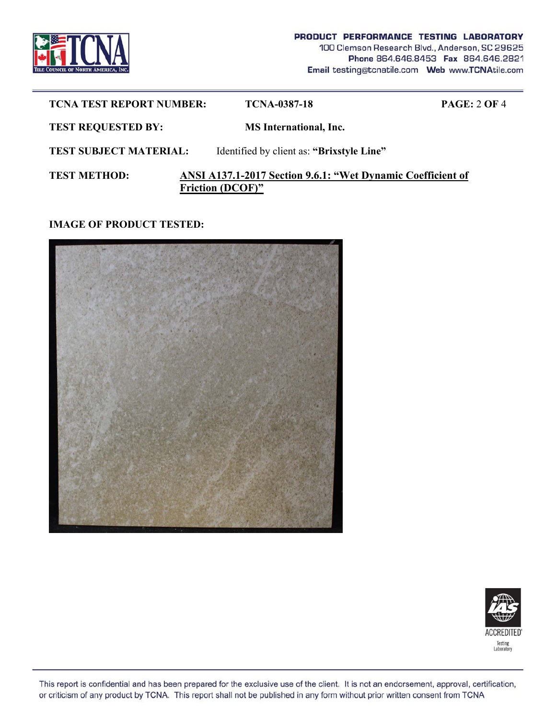

| <b>TCNA TEST REPORT NUMBER:</b> | <b>TCNA-0387-18</b>                                                                    | <b>PAGE: 2 OF 4</b> |
|---------------------------------|----------------------------------------------------------------------------------------|---------------------|
| <b>TEST REQUESTED BY:</b>       | <b>MS</b> International, Inc.                                                          |                     |
| <b>TEST SUBJECT MATERIAL:</b>   | Identified by client as: "Brixstyle Line"                                              |                     |
| <b>TEST METHOD:</b>             | ANSI A137.1-2017 Section 9.6.1: "Wet Dynamic Coefficient of<br><b>Friction (DCOF)"</b> |                     |

# **IMAGE OF PRODUCT TESTED:**





This report is confidential and has been prepared for the exclusive use of the client. It is not an endorsement, approval, certification, or criticism of any product by TCNA. This report shall not be published in any form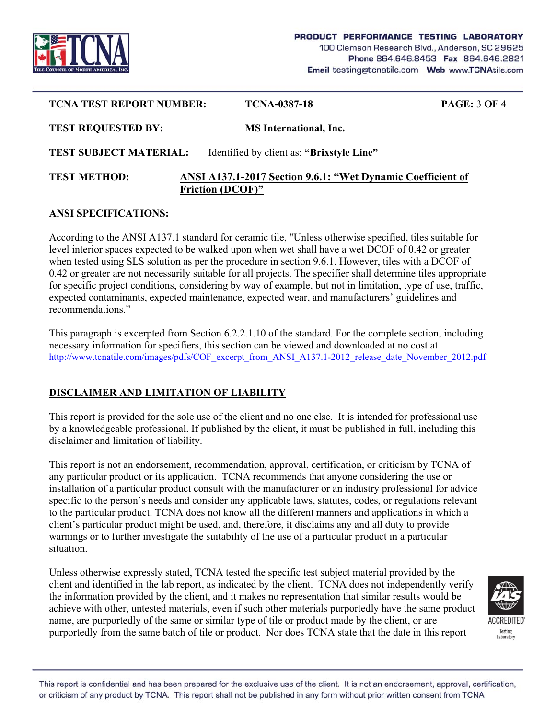

| <b>TCNA TEST REPORT NUMBER:</b> | <b>TCNA-0387-18</b>                                                                    | <b>PAGE: 3 OF 4</b> |
|---------------------------------|----------------------------------------------------------------------------------------|---------------------|
| <b>TEST REQUESTED BY:</b>       | <b>MS</b> International, Inc.                                                          |                     |
| <b>TEST SUBJECT MATERIAL:</b>   | Identified by client as: "Brixstyle Line"                                              |                     |
| <b>TEST METHOD:</b>             | ANSI A137.1-2017 Section 9.6.1: "Wet Dynamic Coefficient of<br><b>Friction (DCOF)"</b> |                     |

### **ANSI SPECIFICATIONS:**

According to the ANSI A137.1 standard for ceramic tile, "Unless otherwise specified, tiles suitable for level interior spaces expected to be walked upon when wet shall have a wet DCOF of 0.42 or greater when tested using SLS solution as per the procedure in section 9.6.1. However, tiles with a DCOF of 0.42 or greater are not necessarily suitable for all projects. The specifier shall determine tiles appropriate for specific project conditions, considering by way of example, but not in limitation, type of use, traffic, expected contaminants, expected maintenance, expected wear, and manufacturers' guidelines and recommendations."

This paragraph is excerpted from Section 6.2.2.1.10 of the standard. For the complete section, including necessary information for specifiers, this section can be viewed and downloaded at no cost at http://www.tcnatile.com/images/pdfs/COF\_excerpt\_from\_ANSI\_A137.1-2012\_release\_date\_November\_2012.pdf

# **DISCLAIMER AND LIMITATION OF LIABILITY**

This report is provided for the sole use of the client and no one else. It is intended for professional use by a knowledgeable professional. If published by the client, it must be published in full, including this disclaimer and limitation of liability.

This report is not an endorsement, recommendation, approval, certification, or criticism by TCNA of any particular product or its application. TCNA recommends that anyone considering the use or installation of a particular product consult with the manufacturer or an industry professional for advice specific to the person's needs and consider any applicable laws, statutes, codes, or regulations relevant to the particular product. TCNA does not know all the different manners and applications in which a client's particular product might be used, and, therefore, it disclaims any and all duty to provide warnings or to further investigate the suitability of the use of a particular product in a particular situation.

Unless otherwise expressly stated, TCNA tested the specific test subject material provided by the client and identified in the lab report, as indicated by the client. TCNA does not independently verify the information provided by the client, and it makes no representation that similar results would be achieve with other, untested materials, even if such other materials purportedly have the same product name, are purportedly of the same or similar type of tile or product made by the client, or are purportedly from the same batch of tile or product. Nor does TCNA state that the date in this report



This report is confidential and has been prepared for the exclusive use of the client. It is not an endorsement, approval, certification, or criticism of any product by TCNA. This report shall not be published in any form without prior written consent from TCNA